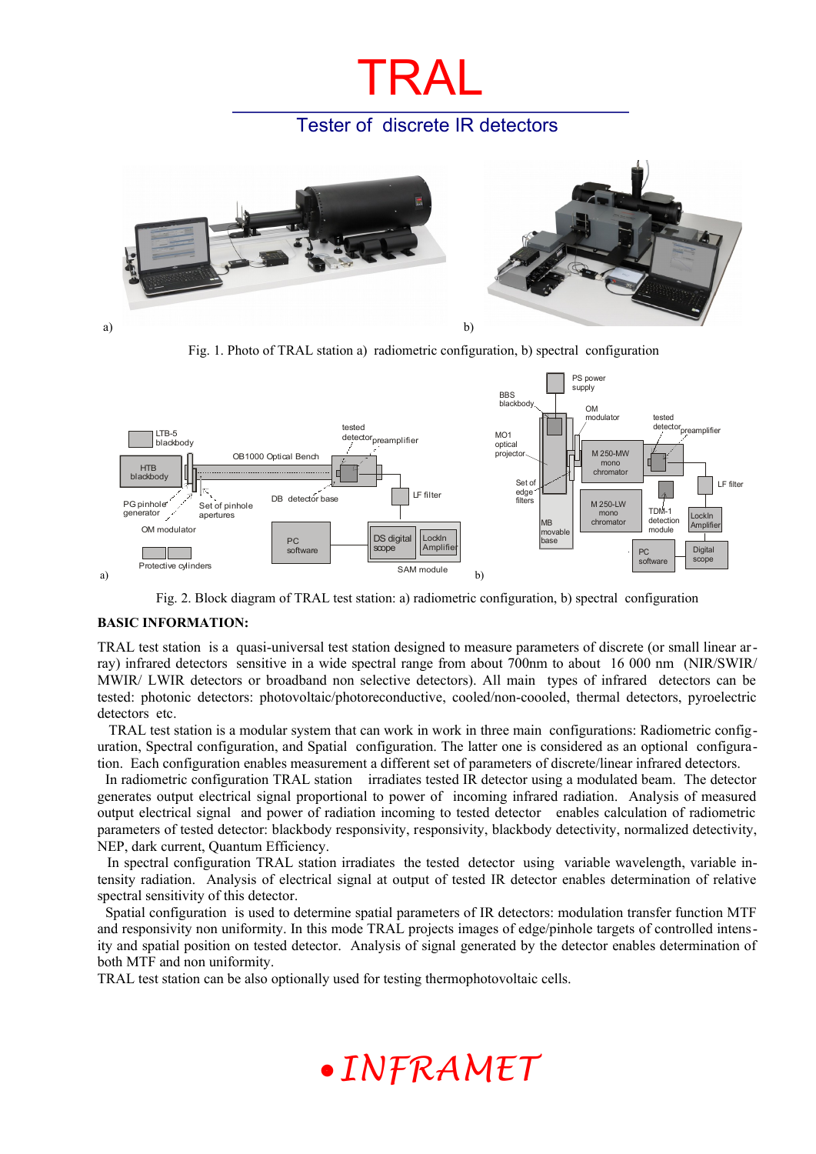## Tester of discrete IR detectors

TRAL



Fig. 1. Photo of TRAL station a) radiometric configuration, b) spectral configuration



Fig. 2. Block diagram of TRAL test station: a) radiometric configuration, b) spectral configuration

#### **BASIC INFORMATION:**

TRAL test station is a quasi-universal test station designed to measure parameters of discrete (or small linear array) infrared detectors sensitive in a wide spectral range from about 700nm to about 16 000 nm (NIR/SWIR/ MWIR/ LWIR detectors or broadband non selective detectors). All main types of infrared detectors can be tested: photonic detectors: photovoltaic/photoreconductive, cooled/non-coooled, thermal detectors, pyroelectric detectors etc.

 TRAL test station is a modular system that can work in work in three main configurations: Radiometric configuration, Spectral configuration, and Spatial configuration. The latter one is considered as an optional configuration. Each configuration enables measurement a different set of parameters of discrete/linear infrared detectors.

 In radiometric configuration TRAL station irradiates tested IR detector using a modulated beam. The detector generates output electrical signal proportional to power of incoming infrared radiation. Analysis of measured output electrical signal and power of radiation incoming to tested detector enables calculation of radiometric parameters of tested detector: blackbody responsivity, responsivity, blackbody detectivity, normalized detectivity, NEP, dark current, Quantum Efficiency.

 In spectral configuration TRAL station irradiates the tested detector using variable wavelength, variable intensity radiation. Analysis of electrical signal at output of tested IR detector enables determination of relative spectral sensitivity of this detector.

 Spatial configuration is used to determine spatial parameters of IR detectors: modulation transfer function MTF and responsivity non uniformity. In this mode TRAL projects images of edge/pinhole targets of controlled intensity and spatial position on tested detector. Analysis of signal generated by the detector enables determination of both MTF and non uniformity.

TRAL test station can be also optionally used for testing thermophotovoltaic cells.